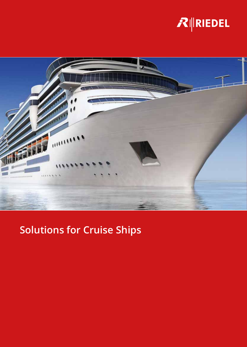



# **Solutions for Cruise Ships**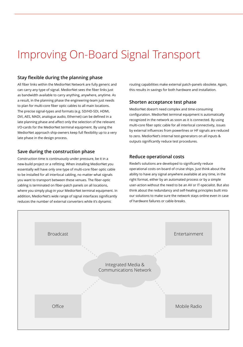# Improving On-Board Signal Transport

## **Stay flexible during the planning phase**

All fiber links within the MediorNet Network are fully generic and can carry any type of signal. MediorNet sees the fiber links just as bandwidth available to carry anything, anywhere, anytime. As a result, in the planning phase the engineering-team just needs to plan for multi-core fiber optic cables to all main locations. The precise signal-types and formats (e.g. SD/HD-SDI, HDMI, DVI, AES, MADI, analogue audio, Ethernet) can be defined in a late planning phase and affect only the selection of the relevant I/O-cards for the MediorNet terminal equipment. By using the MediorNet approach ship-owners keep full flexibility up to a very late phase in the design process.

### **Save during the construction phase**

Construction time is continuously under pressure, be it in a new-build project or a refitting. When installing MediorNet you essentially will have only one type of multi-core fiber optic cable to be installed for all interlocal cabling, no matter what signals you want to transport between these venues. The fiber-optic cabling is terminated on fiber-patch panels on all locations, where you simply plug-in your MediorNet terminal equipment. In addition, MediorNet's wide range of signal interfaces significantly reduces the number of external converters while it's dynamic

routing capabilities make external patch-panels obsolete. Again, this results in savings for both hardware and installation.

#### **Shorten acceptance test phase**

MediorNet doesn't need complex and time-consuming configuration. MediorNet terminal equipment is automatically recognized in the network as soon as it is connected. By using multi-core fiber optic cable for all interlocal connectivity, issues by external influences from powerlines or HF signals are reduced to zero. MediorNet's internal test-generators on all inputs & outputs significantly reduce test procedures.

### **Reduce operational costs**

Riedel's solutions are developed to significantly reduce operational costs on board of cruise ships. Just think about the ability to have any signal anywhere available at any time, in the right format, either by an automated process or by a simple user-action without the need to be an AV or IT-specialist. But also think about the redundancy and self-healing principles built into our solutions to make sure the network stays online even in case of hardware failures or cable-breaks.

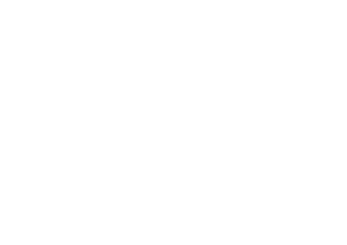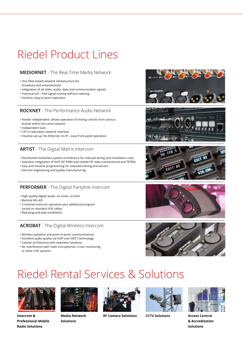# Riedel Product Lines

### **MediorNet** - The Real-Time Media Network

• One fiber-based network infrastructure for

- broadcast and entertainment
- Integration of all video, audio, data and communication signals
- Future-proof free signal-routing without rewiring
- Intuitive, easy-to-learn operation

#### **RockNet** - The Performance Audio Network

- Vendor independent: allows operation of mixing consols from various brands within the same network
- Independent Gain
- CAT-5 redundant network interface
- Intuitive set-up: No Ethernet, no IP easy front panel operation

### **Artist** - The Digital Matrix Intercom

- Distributed masterless system architecture for reduced wiring and installation costs
- Seamless integration of VoIP SIP PABX and mobile HF radio (conventional and TETRA)
- Easy and intuitive programming for reduced training and service
- German engineering and quality manufacturing

### **PERFORMER** - The Digital Partyline Intercom

- High quality digital audio: no noise, no hum
- Remote Mic-Kill
- 2-channel intercom operation plus additional program
- sound on standard XLR cables
- Real plug-and-play installation

#### **Acrobat** - The Digital Wireless Intercom

- Wireless partyline and point-to-point communications
- Excellent audio quality via VoIP-over-DECT technology
- Cellular architecture with seamless handover
- No interference with radio microphones, in ear monitoring or other UHF systems











# Riedel Rental Services & Solutions



**Intercom & Professional Mobile Radio Solutions**



**Media Network Solutions**



**RF Camera Solutions CCTV Solutions Access Control** 





**& Accreditation Solutions**